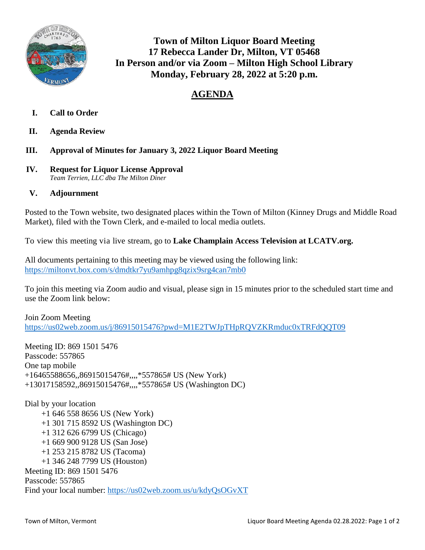

**Town of Milton Liquor Board Meeting 17 Rebecca Lander Dr, Milton, VT 05468 In Person and/or via Zoom – Milton High School Library Monday, February 28, 2022 at 5:20 p.m.**

## **AGENDA**

- **I. Call to Order**
- **II. Agenda Review**
- **III. Approval of Minutes for January 3, 2022 Liquor Board Meeting**
- **IV. Request for Liquor License Approval**  *Team Terrien, LLC dba The Milton Diner*
- **V. Adjournment**

Posted to the Town website, two designated places within the Town of Milton (Kinney Drugs and Middle Road Market), filed with the Town Clerk, and e-mailed to local media outlets.

To view this meeting via live stream, go to **Lake Champlain Access Television at LCATV.org.**

All documents pertaining to this meeting may be viewed using the following link: <https://miltonvt.box.com/s/dmdtkr7yu9amhpg8qzix9srg4can7mb0>

To join this meeting via Zoom audio and visual, please sign in 15 minutes prior to the scheduled start time and use the Zoom link below:

Join Zoom Meeting <https://us02web.zoom.us/j/86915015476?pwd=M1E2TWJpTHpRQVZKRmduc0xTRFdQQT09>

Meeting ID: 869 1501 5476 Passcode: 557865 One tap mobile +16465588656,,86915015476#,,,,\*557865# US (New York) +13017158592,,86915015476#,,,,\*557865# US (Washington DC)

Dial by your location +1 646 558 8656 US (New York) +1 301 715 8592 US (Washington DC) +1 312 626 6799 US (Chicago) +1 669 900 9128 US (San Jose) +1 253 215 8782 US (Tacoma) +1 346 248 7799 US (Houston) Meeting ID: 869 1501 5476 Passcode: 557865 Find your local number:<https://us02web.zoom.us/u/kdyQsOGvXT>